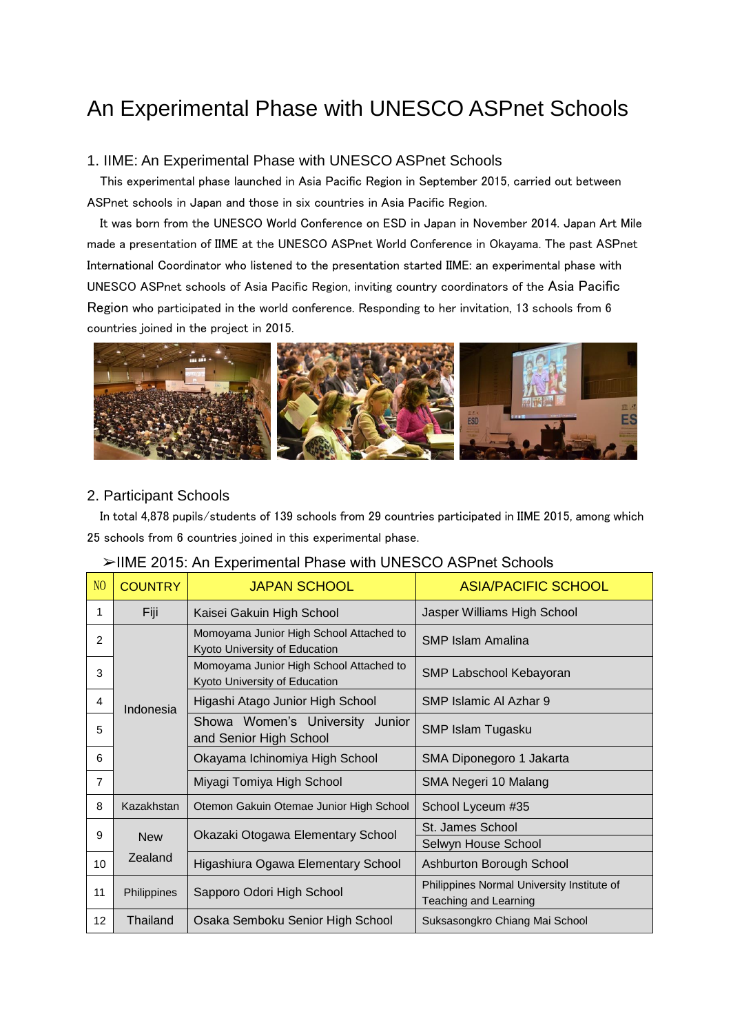# An Experimental Phase with UNESCO ASPnet Schools

### 1. IIME: An Experimental Phase with UNESCO ASPnet Schools

 This experimental phase launched in Asia Pacific Region in September 2015, carried out between ASPnet schools in Japan and those in six countries in Asia Pacific Region.

 It was born from the UNESCO World Conference on ESD in Japan in November 2014. Japan Art Mile made a presentation of IIME at the UNESCO ASPnet World Conference in Okayama. The past ASPnet International Coordinator who listened to the presentation started IIME: an experimental phase with UNESCO ASPnet schools of Asia Pacific Region, inviting country coordinators of the Asia Pacific Region who participated in the world conference. Responding to her invitation, 13 schools from 6 countries joined in the project in 2015.



### 2. Participant Schools

In total 4,878 pupils/students of 139 schools from 29 countries participated in IIME 2015, among which 25 schools from 6 countries joined in this experimental phase.

### ➢IIME 2015: An Experimental Phase with UNESCO ASPnet Schools

| N <sub>O</sub> | <b>COUNTRY</b>        | <b>JAPAN SCHOOL</b>                                                      | <b>ASIA/PACIFIC SCHOOL</b>                                                 |
|----------------|-----------------------|--------------------------------------------------------------------------|----------------------------------------------------------------------------|
| 1              | Fiji                  | Kaisei Gakuin High School                                                | Jasper Williams High School                                                |
| 2              | Indonesia             | Momoyama Junior High School Attached to<br>Kyoto University of Education | <b>SMP Islam Amalina</b>                                                   |
| 3              |                       | Momoyama Junior High School Attached to<br>Kyoto University of Education | SMP Labschool Kebayoran                                                    |
| 4              |                       | Higashi Atago Junior High School                                         | SMP Islamic AI Azhar 9                                                     |
| 5              |                       | Showa Women's University Junior<br>and Senior High School                | SMP Islam Tugasku                                                          |
| 6              |                       | Okayama Ichinomiya High School                                           | SMA Diponegoro 1 Jakarta                                                   |
| $\overline{7}$ |                       | Miyagi Tomiya High School                                                | SMA Negeri 10 Malang                                                       |
| 8              | Kazakhstan            | Otemon Gakuin Otemae Junior High School                                  | School Lyceum #35                                                          |
| 9              | <b>New</b><br>Zealand | Okazaki Otogawa Elementary School                                        | St. James School                                                           |
|                |                       |                                                                          | Selwyn House School                                                        |
| 10             |                       | Higashiura Ogawa Elementary School                                       | Ashburton Borough School                                                   |
| 11             | Philippines           | Sapporo Odori High School                                                | Philippines Normal University Institute of<br><b>Teaching and Learning</b> |
| 12             | Thailand              | Osaka Semboku Senior High School                                         | Suksasongkro Chiang Mai School                                             |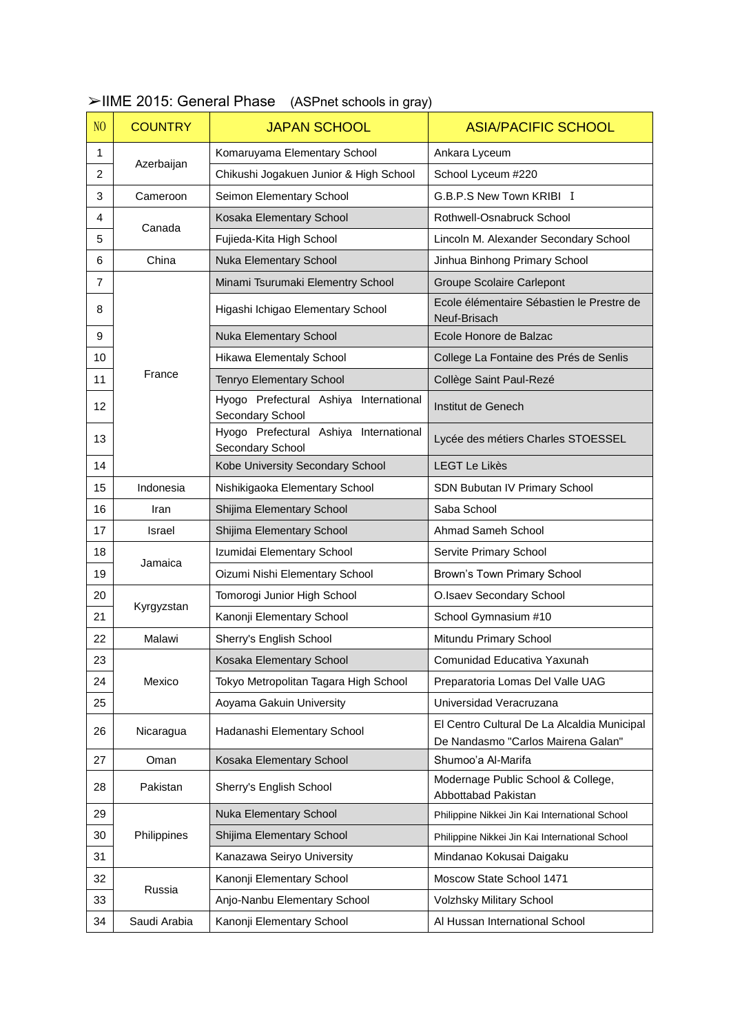| N <sub>O</sub> | <b>COUNTRY</b> | <b>JAPAN SCHOOL</b>                                        | <b>ASIA/PACIFIC SCHOOL</b>                                                        |
|----------------|----------------|------------------------------------------------------------|-----------------------------------------------------------------------------------|
| 1              |                | Komaruyama Elementary School                               | Ankara Lyceum                                                                     |
| 2              | Azerbaijan     | Chikushi Jogakuen Junior & High School                     | School Lyceum #220                                                                |
| 3              | Cameroon       | Seimon Elementary School                                   | G.B.P.S New Town KRIBI I                                                          |
| 4              |                | Kosaka Elementary School                                   | Rothwell-Osnabruck School                                                         |
| 5              | Canada         | Fujieda-Kita High School                                   | Lincoln M. Alexander Secondary School                                             |
| 6              | China          | Nuka Elementary School                                     | Jinhua Binhong Primary School                                                     |
| $\overline{7}$ |                | Minami Tsurumaki Elementry School                          | Groupe Scolaire Carlepont                                                         |
| 8              |                | Higashi Ichigao Elementary School                          | Ecole élémentaire Sébastien le Prestre de<br>Neuf-Brisach                         |
| 9              |                | <b>Nuka Elementary School</b>                              | Ecole Honore de Balzac                                                            |
| 10             |                | Hikawa Elementaly School                                   | College La Fontaine des Prés de Senlis                                            |
| 11             | France         | Tenryo Elementary School                                   | Collège Saint Paul-Rezé                                                           |
| 12             |                | Hyogo Prefectural Ashiya International<br>Secondary School | Institut de Genech                                                                |
| 13             |                | Hyogo Prefectural Ashiya International<br>Secondary School | Lycée des métiers Charles STOESSEL                                                |
| 14             |                | Kobe University Secondary School                           | <b>LEGT Le Likès</b>                                                              |
| 15             | Indonesia      | Nishikigaoka Elementary School                             | SDN Bubutan IV Primary School                                                     |
| 16             | Iran           | Shijima Elementary School                                  | Saba School                                                                       |
| 17             | Israel         | Shijima Elementary School                                  | Ahmad Sameh School                                                                |
| 18             | Jamaica        | Izumidai Elementary School                                 | Servite Primary School                                                            |
| 19             |                | Oizumi Nishi Elementary School                             | Brown's Town Primary School                                                       |
| 20             |                | Tomorogi Junior High School                                | O.Isaev Secondary School                                                          |
| 21             | Kyrgyzstan     | Kanonji Elementary School                                  | School Gymnasium #10                                                              |
| 22             | Malawi         | Sherry's English School                                    | Mitundu Primary School                                                            |
| 23             |                | Kosaka Elementary School                                   | Comunidad Educativa Yaxunah                                                       |
| 24             | Mexico         | Tokyo Metropolitan Tagara High School                      | Preparatoria Lomas Del Valle UAG                                                  |
| 25             |                | Aoyama Gakuin University                                   | Universidad Veracruzana                                                           |
| 26             | Nicaragua      | Hadanashi Elementary School                                | El Centro Cultural De La Alcaldia Municipal<br>De Nandasmo "Carlos Mairena Galan" |
| 27             | Oman           | Kosaka Elementary School                                   | Shumoo'a Al-Marifa                                                                |
| 28             | Pakistan       | Sherry's English School                                    | Modernage Public School & College,<br>Abbottabad Pakistan                         |
| 29             |                | Nuka Elementary School                                     | Philippine Nikkei Jin Kai International School                                    |
| 30             | Philippines    | Shijima Elementary School                                  | Philippine Nikkei Jin Kai International School                                    |
| 31             |                | Kanazawa Seiryo University                                 | Mindanao Kokusai Daigaku                                                          |
| 32             |                | Kanonji Elementary School                                  | Moscow State School 1471                                                          |
| 33             | Russia         | Anjo-Nanbu Elementary School                               | Volzhsky Military School                                                          |
| 34             | Saudi Arabia   | Kanonji Elementary School                                  | Al Hussan International School                                                    |

## ➢IIME 2015: General Phase (ASPnet schools in gray)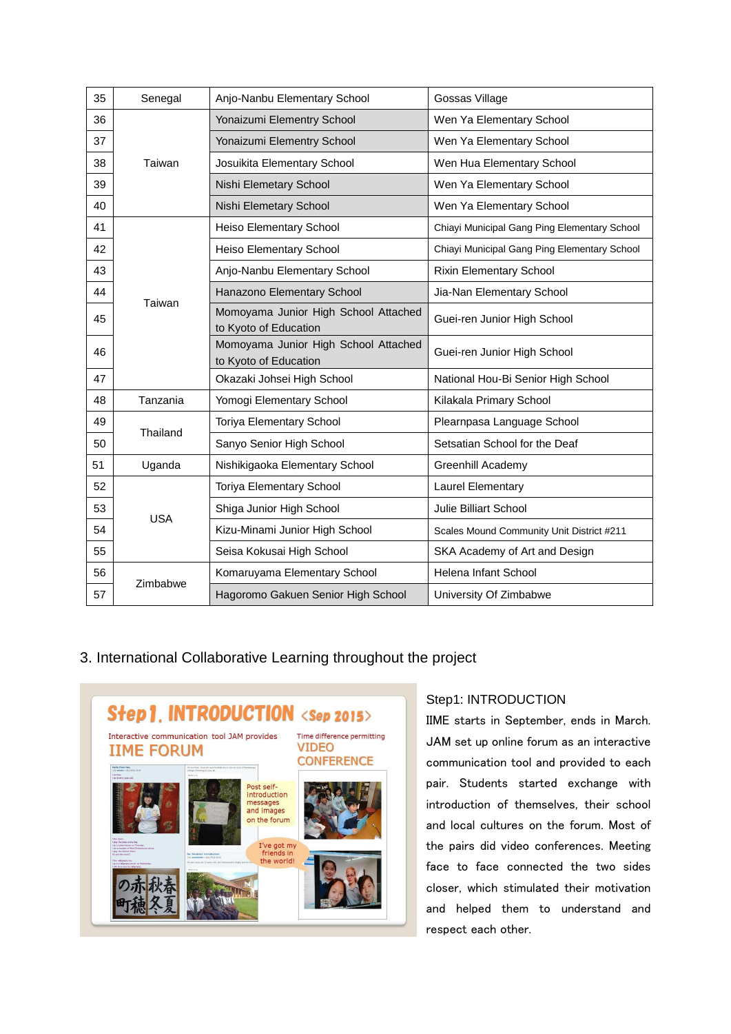| 35 | Senegal    | Anjo-Nanbu Elementary School                                  | Gossas Village                               |
|----|------------|---------------------------------------------------------------|----------------------------------------------|
| 36 | Taiwan     | Yonaizumi Elementry School                                    | Wen Ya Elementary School                     |
| 37 |            | Yonaizumi Elementry School                                    | Wen Ya Elementary School                     |
| 38 |            | Josuikita Elementary School                                   | Wen Hua Elementary School                    |
| 39 |            | Nishi Elemetary School                                        | Wen Ya Elementary School                     |
| 40 |            | Nishi Elemetary School                                        | Wen Ya Elementary School                     |
| 41 | Taiwan     | Heiso Elementary School                                       | Chiayi Municipal Gang Ping Elementary School |
| 42 |            | Heiso Elementary School                                       | Chiayi Municipal Gang Ping Elementary School |
| 43 |            | Anjo-Nanbu Elementary School                                  | Rixin Elementary School                      |
| 44 |            | Hanazono Elementary School                                    | Jia-Nan Elementary School                    |
| 45 |            | Momoyama Junior High School Attached<br>to Kyoto of Education | Guei-ren Junior High School                  |
| 46 |            | Momoyama Junior High School Attached<br>to Kyoto of Education | Guei-ren Junior High School                  |
| 47 |            | Okazaki Johsei High School                                    | National Hou-Bi Senior High School           |
| 48 | Tanzania   | Yomogi Elementary School                                      | Kilakala Primary School                      |
| 49 |            | <b>Toriya Elementary School</b>                               | Plearnpasa Language School                   |
| 50 | Thailand   | Sanyo Senior High School                                      | Setsatian School for the Deaf                |
| 51 | Uganda     | Nishikigaoka Elementary School                                | Greenhill Academy                            |
| 52 | <b>USA</b> | <b>Toriya Elementary School</b>                               | <b>Laurel Elementary</b>                     |
| 53 |            | Shiga Junior High School                                      | Julie Billiart School                        |
| 54 |            | Kizu-Minami Junior High School                                | Scales Mound Community Unit District #211    |
| 55 |            | Seisa Kokusai High School                                     | SKA Academy of Art and Design                |
| 56 | Zimbabwe   | Komaruyama Elementary School                                  | Helena Infant School                         |
| 57 |            | Hagoromo Gakuen Senior High School                            | University Of Zimbabwe                       |

# 3. International Collaborative Learning throughout the project



# Step1: INTRODUCTION

IIME starts in September, ends in March. JAM set up online forum as an interactive communication tool and provided to each pair. Students started exchange with introduction of themselves, their school and local cultures on the forum. Most of the pairs did video conferences. Meeting face to face connected the two sides closer, which stimulated their motivation and helped them to understand and respect each other.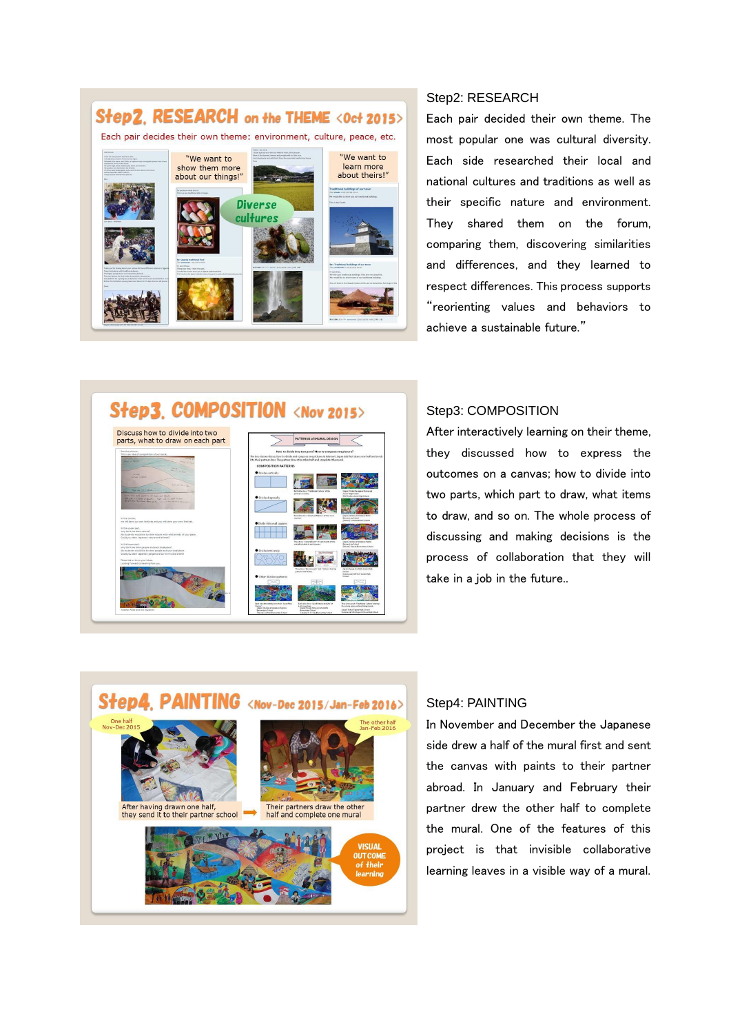

### Step2: RESEARCH

Each pair decided their own theme. The most popular one was cultural diversity. Each side researched their local and national cultures and traditions as well as their specific nature and environment. They shared them on the forum, comparing them, discovering similarities and differences, and they learned to respect differences. This process supports "reorienting values and behaviors to achieve a sustainable future."

# Step3. COMPOSITION <Nov 2015>



### Step3: COMPOSITION

After interactively learning on their theme, they discussed how to express the outcomes on a canvas; how to divide into two parts, which part to draw, what items to draw, and so on. The whole process of discussing and making decisions is the process of collaboration that they will take in a job in the future..



### Step4: PAINTING

In November and December the Japanese side drew a half of the mural first and sent the canvas with paints to their partner abroad. In January and February their partner drew the other half to complete the mural. One of the features of this project is that invisible collaborative learning leaves in a visible way of a mural.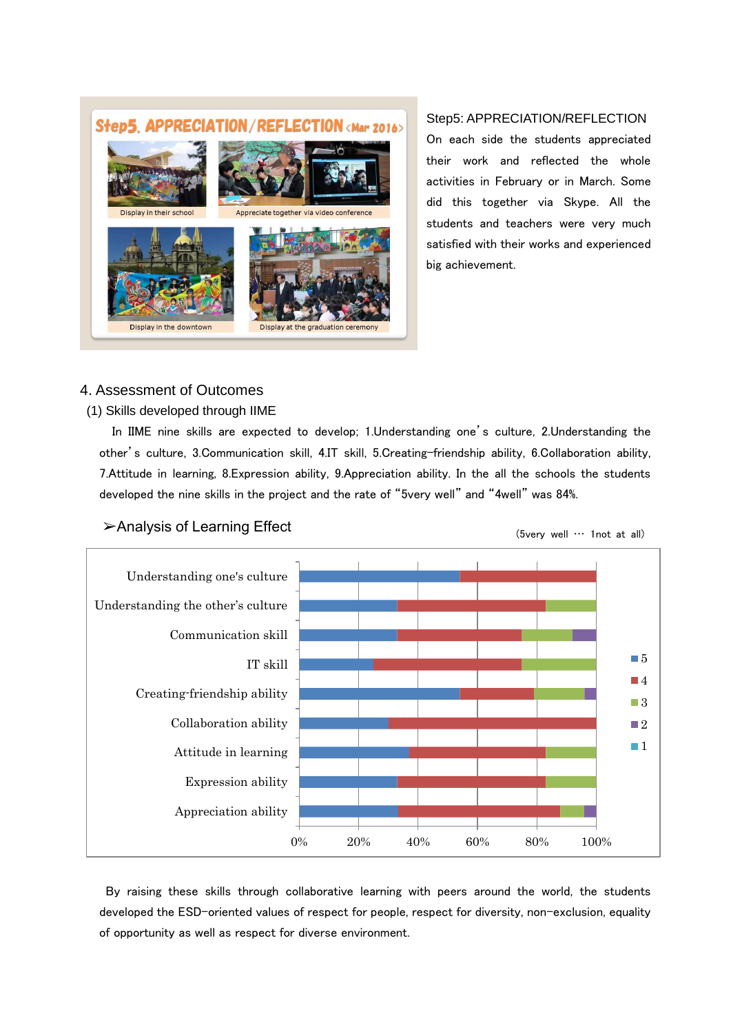# Step5, APPRECIATION/REFLECTION<Mar 2016>



### Step5: APPRECIATION/REFLECTION

On each side the students appreciated their work and reflected the whole activities in February or in March. Some did this together via Skype. All the students and teachers were very much satisfied with their works and experienced big achievement.

### 4. Assessment of Outcomes

### (1) Skills developed through IIME

 In IIME nine skills are expected to develop; 1.Understanding one's culture, 2.Understanding the other's culture, 3.Communication skill, 4.IT skill, 5.Creating-friendship ability, 6.Collaboration ability, 7.Attitude in learning, 8.Expression ability, 9.Appreciation ability. In the all the schools the students developed the nine skills in the project and the rate of "5very well" and "4well" was 84%.



### ➢Analysis of Learning Effect

(5very well … 1not at all)

By raising these skills through collaborative learning with peers around the world, the students developed the ESD-oriented values of respect for people, respect for diversity, non-exclusion, equality of opportunity as well as respect for diverse environment.